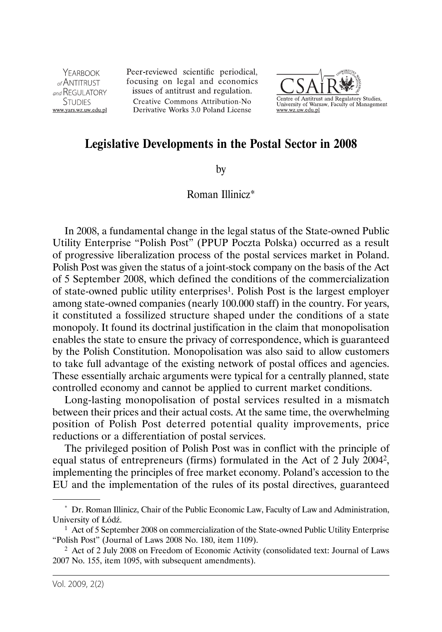YFARROOK  $_{\alpha f}$ ANTITRUST and REGULATORY **STUDIES** www.vars.wz.uw.edu.pl Peer-reviewed scientific periodical, focusing on legal and economics issues of antitrust and regulation. Creative Commons Attribution-No Derivative Works 3.0 Poland License



## **Legislative Developments in the Postal Sector in 2008**

by

## Roman Illinicz\*

In 2008, a fundamental change in the legal status of the State-owned Public Utility Enterprise "Polish Post" (PPUP Poczta Polska) occurred as a result of progressive liberalization process of the postal services market in Poland. Polish Post was given the status of a joint-stock company on the basis of the Act of 5 September 2008, which defined the conditions of the commercialization of state-owned public utility enterprises1. Polish Post is the largest employer among state-owned companies (nearly 100.000 staff) in the country. For years, it constituted a fossilized structure shaped under the conditions of a state monopoly. It found its doctrinal justification in the claim that monopolisation enables the state to ensure the privacy of correspondence, which is guaranteed by the Polish Constitution. Monopolisation was also said to allow customers to take full advantage of the existing network of postal offices and agencies. These essentially archaic arguments were typical for a centrally planned, state controlled economy and cannot be applied to current market conditions.

Long-lasting monopolisation of postal services resulted in a mismatch between their prices and their actual costs. At the same time, the overwhelming position of Polish Post deterred potential quality improvements, price reductions or a differentiation of postal services.

The privileged position of Polish Post was in conflict with the principle of equal status of entrepreneurs (firms) formulated in the Act of 2 July 20042, implementing the principles of free market economy. Poland's accession to the EU and the implementation of the rules of its postal directives, guaranteed

<sup>\*</sup> Dr. Roman Illinicz, Chair of the Public Economic Law, Faculty of Law and Administration, University of Łódź.

<sup>&</sup>lt;sup>1</sup> Act of 5 September 2008 on commercialization of the State-owned Public Utility Enterprise "Polish Post" (Journal of Laws 2008 No. 180, item 1109).

<sup>2</sup> Act of 2 July 2008 on Freedom of Economic Activity (consolidated text: Journal of Laws 2007 No. 155, item 1095, with subsequent amendments).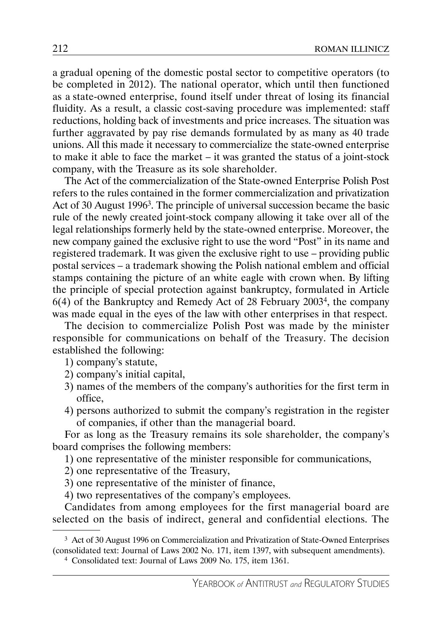a gradual opening of the domestic postal sector to competitive operators (to be completed in 2012). The national operator, which until then functioned as a state-owned enterprise, found itself under threat of losing its financial fluidity. As a result, a classic cost-saving procedure was implemented: staff reductions, holding back of investments and price increases. The situation was further aggravated by pay rise demands formulated by as many as 40 trade unions. All this made it necessary to commercialize the state-owned enterprise to make it able to face the market – it was granted the status of a joint-stock company, with the Treasure as its sole shareholder.

The Act of the commercialization of the State-owned Enterprise Polish Post refers to the rules contained in the former commercialization and privatization Act of 30 August 19963. The principle of universal succession became the basic rule of the newly created joint-stock company allowing it take over all of the legal relationships formerly held by the state-owned enterprise. Moreover, the new company gained the exclusive right to use the word "Post" in its name and registered trademark. It was given the exclusive right to use – providing public postal services – a trademark showing the Polish national emblem and official stamps containing the picture of an white eagle with crown when. By lifting the principle of special protection against bankruptcy, formulated in Article 6(4) of the Bankruptcy and Remedy Act of 28 February 20034, the company was made equal in the eyes of the law with other enterprises in that respect.

The decision to commercialize Polish Post was made by the minister responsible for communications on behalf of the Treasury. The decision established the following:

- 1) company's statute,
- 2) company's initial capital,
- 3) names of the members of the company's authorities for the first term in office,
- 4) persons authorized to submit the company's registration in the register of companies, if other than the managerial board.

For as long as the Treasury remains its sole shareholder, the company's board comprises the following members:

1) one representative of the minister responsible for communications,

- 2) one representative of the Treasury,
- 3) one representative of the minister of finance,
- 4) two representatives of the company's employees.

Candidates from among employees for the first managerial board are selected on the basis of indirect, general and confidential elections. The

4 Consolidated text: Journal of Laws 2009 No. 175, item 1361.

<sup>3</sup> Act of 30 August 1996 on Commercialization and Privatization of State-Owned Enterprises (consolidated text: Journal of Laws 2002 No. 171, item 1397, with subsequent amendments).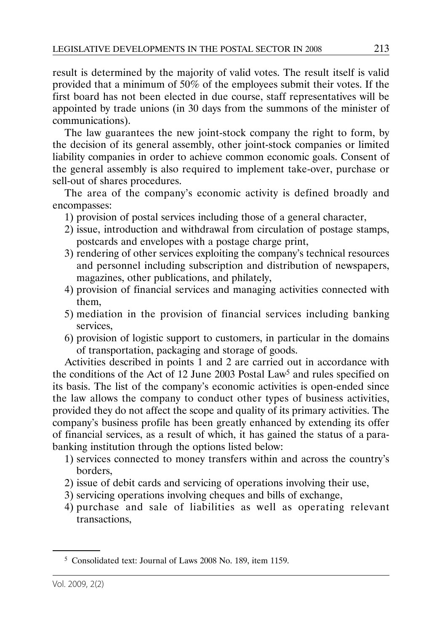result is determined by the majority of valid votes. The result itself is valid provided that a minimum of 50% of the employees submit their votes. If the first board has not been elected in due course, staff representatives will be appointed by trade unions (in 30 days from the summons of the minister of communications).

The law guarantees the new joint-stock company the right to form, by the decision of its general assembly, other joint-stock companies or limited liability companies in order to achieve common economic goals. Consent of the general assembly is also required to implement take-over, purchase or sell-out of shares procedures.

The area of the company's economic activity is defined broadly and encompasses:

- 1) provision of postal services including those of a general character,
- 2) issue, introduction and withdrawal from circulation of postage stamps, postcards and envelopes with a postage charge print,
- 3) rendering of other services exploiting the company's technical resources and personnel including subscription and distribution of newspapers, magazines, other publications, and philately,
- 4) provision of financial services and managing activities connected with them,
- 5) mediation in the provision of financial services including banking services,
- 6) provision of logistic support to customers, in particular in the domains of transportation, packaging and storage of goods.

Activities described in points 1 and 2 are carried out in accordance with the conditions of the Act of 12 June 2003 Postal Law<sup>5</sup> and rules specified on its basis. The list of the company's economic activities is open-ended since the law allows the company to conduct other types of business activities, provided they do not affect the scope and quality of its primary activities. The company's business profile has been greatly enhanced by extending its offer of financial services, as a result of which, it has gained the status of a parabanking institution through the options listed below:

- 1) services connected to money transfers within and across the country's borders,
- 2) issue of debit cards and servicing of operations involving their use,
- 3) servicing operations involving cheques and bills of exchange,
- 4) purchase and sale of liabilities as well as operating relevant transactions,

<sup>5</sup> Consolidated text: Journal of Laws 2008 No. 189, item 1159.